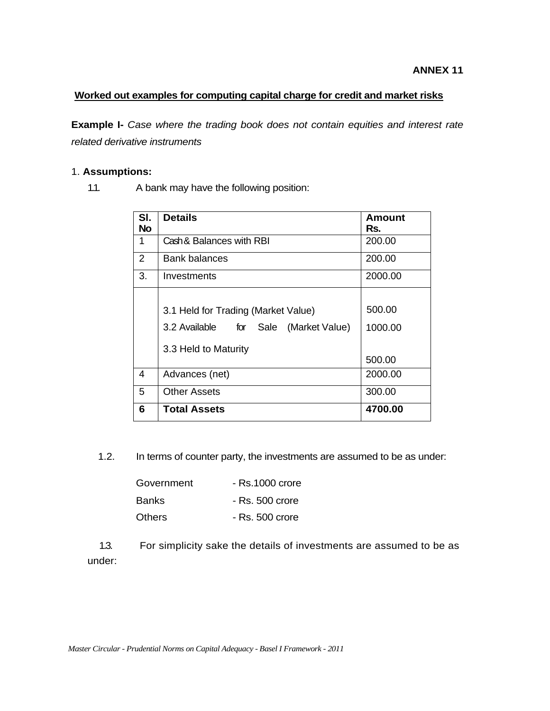## **Worked out examples for computing capital charge for credit and market risks**

**Example I-** *Case where the trading book does not contain equities and interest rate related derivative instruments* 

### 1. **Assumptions:**

1.1. A bank may have the following position:

| SI.<br><b>No</b> | <b>Details</b>                                                                                          | Amount<br>Rs.               |
|------------------|---------------------------------------------------------------------------------------------------------|-----------------------------|
| 1                | Cash & Balances with RBI                                                                                | 200.00                      |
| 2                | <b>Bank balances</b>                                                                                    | 200.00                      |
| 3.               | Investments                                                                                             | 2000.00                     |
|                  | 3.1 Held for Trading (Market Value)<br>3.2 Available for Sale<br>(Market Value)<br>3.3 Held to Maturity | 500.00<br>1000.00<br>500.00 |
| 4                | Advances (net)                                                                                          | 2000.00                     |
| 5                | <b>Other Assets</b>                                                                                     | 300.00                      |
| 6                | <b>Total Assets</b>                                                                                     | 4700.00                     |

1.2. In terms of counter party, the investments are assumed to be as under:

| Government | $-$ Rs.1000 crore |
|------------|-------------------|
| Banks.     | $-$ Rs. 500 crore |
| Others     | - Rs. 500 crore   |

 1.3. For simplicity sake the details of investments are assumed to be as under: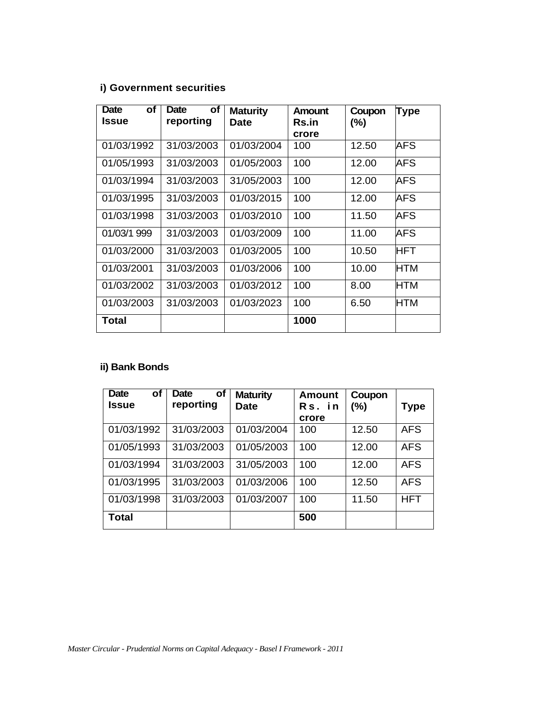# **i) Government securities**

| <b>Date</b><br>οf | οf<br>Date | <b>Maturity</b> | Amount       | Coupon | <b>Type</b> |
|-------------------|------------|-----------------|--------------|--------|-------------|
| <b>Issue</b>      | reporting  | Date            | <b>Rs.in</b> | $(\%)$ |             |
|                   |            |                 | crore        |        |             |
| 01/03/1992        | 31/03/2003 | 01/03/2004      | 100          | 12.50  | AFS         |
| 01/05/1993        | 31/03/2003 | 01/05/2003      | 100          | 12.00  | AFS         |
| 01/03/1994        | 31/03/2003 | 31/05/2003      | 100          | 12.00  | AFS         |
| 01/03/1995        | 31/03/2003 | 01/03/2015      | 100          | 12.00  | AFS         |
| 01/03/1998        | 31/03/2003 | 01/03/2010      | 100          | 11.50  | AFS         |
| 01/03/1 999       | 31/03/2003 | 01/03/2009      | 100          | 11.00  | AFS         |
| 01/03/2000        | 31/03/2003 | 01/03/2005      | 100          | 10.50  | <b>HFT</b>  |
| 01/03/2001        | 31/03/2003 | 01/03/2006      | 100          | 10.00  | <b>HTM</b>  |
| 01/03/2002        | 31/03/2003 | 01/03/2012      | 100          | 8.00   | <b>HTM</b>  |
| 01/03/2003        | 31/03/2003 | 01/03/2023      | 100          | 6.50   | <b>HTM</b>  |
| <b>Total</b>      |            |                 | 1000         |        |             |

# **ii) Bank Bonds**

| <b>Date</b><br>οf<br>Issue | Date<br>οf<br>reporting | <b>Maturity</b><br><b>Date</b> | <b>Amount</b><br>Rs. in | Coupon<br>(%) | Type       |
|----------------------------|-------------------------|--------------------------------|-------------------------|---------------|------------|
|                            |                         |                                | crore                   |               |            |
| 01/03/1992                 | 31/03/2003              | 01/03/2004                     | 100                     | 12.50         | <b>AFS</b> |
| 01/05/1993                 | 31/03/2003              | 01/05/2003                     | 100                     | 12.00         | <b>AFS</b> |
| 01/03/1994                 | 31/03/2003              | 31/05/2003                     | 100                     | 12.00         | <b>AFS</b> |
| 01/03/1995                 | 31/03/2003              | 01/03/2006                     | 100                     | 12.50         | <b>AFS</b> |
| 01/03/1998                 | 31/03/2003              | 01/03/2007                     | 100                     | 11.50         | <b>HFT</b> |
| <b>Total</b>               |                         |                                | 500                     |               |            |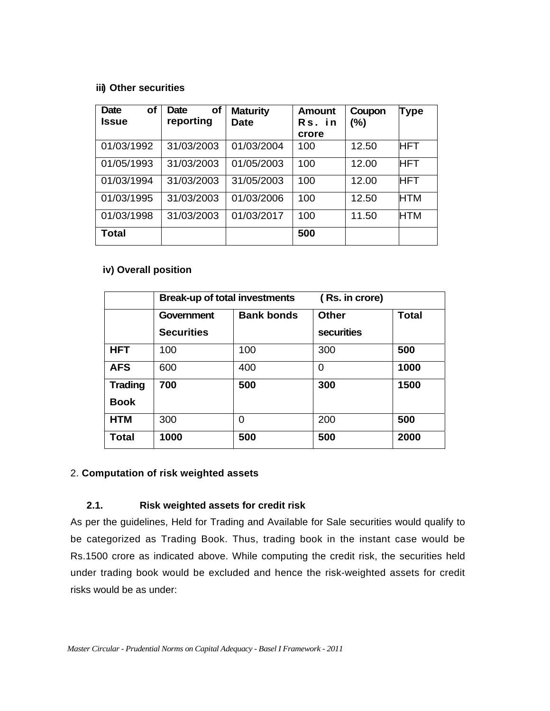### **iii) Other securities**

| <b>of</b><br><b>Date</b><br><b>Issue</b> | οf<br><b>Date</b><br>reporting | <b>Maturity</b><br><b>Date</b> | <b>Amount</b><br>Rs. in<br>crore | Coupon<br>$(\%)$ | <b>Type</b> |
|------------------------------------------|--------------------------------|--------------------------------|----------------------------------|------------------|-------------|
| 01/03/1992                               | 31/03/2003                     | 01/03/2004                     | 100                              | 12.50            | <b>HFT</b>  |
| 01/05/1993                               | 31/03/2003                     | 01/05/2003                     | 100                              | 12.00            | <b>HFT</b>  |
| 01/03/1994                               | 31/03/2003                     | 31/05/2003                     | 100                              | 12.00            | <b>HFT</b>  |
| 01/03/1995                               | 31/03/2003                     | 01/03/2006                     | 100                              | 12.50            | HTM         |
| 01/03/1998                               | 31/03/2003                     | 01/03/2017                     | 100                              | 11.50            | HTM         |
| <b>Total</b>                             |                                |                                | 500                              |                  |             |

## **iv) Overall position**

|                               | <b>Break-up of total investments</b> |                   | (Rs. in crore)                    |              |
|-------------------------------|--------------------------------------|-------------------|-----------------------------------|--------------|
|                               | Government<br><b>Securities</b>      | <b>Bank bonds</b> | <b>Other</b><br><b>securities</b> | <b>Total</b> |
| <b>HFT</b>                    | 100                                  | 100               | 300                               | 500          |
| <b>AFS</b>                    | 600                                  | 400               | 0                                 | 1000         |
| <b>Trading</b><br><b>Book</b> | 700                                  | 500               | 300                               | 1500         |
| <b>HTM</b>                    | 300                                  | 0                 | 200                               | 500          |
| <b>Total</b>                  | 1000                                 | 500               | 500                               | 2000         |

## 2. **Computation of risk weighted assets**

## **2.1. Risk weighted assets for credit risk**

As per the guidelines, Held for Trading and Available for Sale securities would qualify to be categorized as Trading Book. Thus, trading book in the instant case would be Rs.1500 crore as indicated above. While computing the credit risk, the securities held under trading book would be excluded and hence the risk-weighted assets for credit risks would be as under: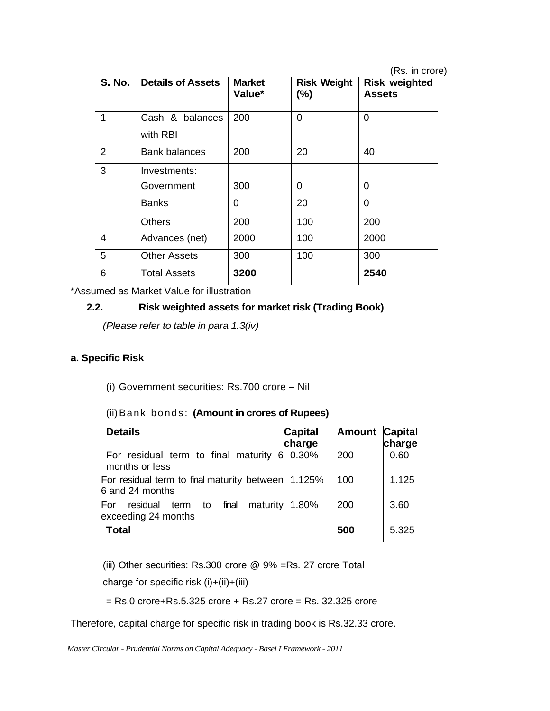(Rs. in crore)

| <b>S. No.</b>  | <b>Details of Assets</b> | <b>Market</b><br>Value* | <b>Risk Weight</b><br>$(\%)$ | <b>Risk weighted</b><br><b>Assets</b> |
|----------------|--------------------------|-------------------------|------------------------------|---------------------------------------|
| 1              | Cash & balances          | 200                     | $\Omega$                     | $\Omega$                              |
|                | with RBI                 |                         |                              |                                       |
| $\overline{2}$ | Bank balances            | 200                     | 20                           | 40                                    |
| 3              | Investments:             |                         |                              |                                       |
|                | Government               | 300                     | 0                            | 0                                     |
|                | <b>Banks</b>             | 0                       | 20                           | 0                                     |
|                | Others                   | 200                     | 100                          | 200                                   |
| 4              | Advances (net)           | 2000                    | 100                          | 2000                                  |
| 5              | <b>Other Assets</b>      | 300                     | 100                          | 300                                   |
| 6              | Total Assets             | 3200                    |                              | 2540                                  |

\*Assumed as Market Value for illustration

## **2.2. Risk weighted assets for market risk (Trading Book)**

*(Please refer to table in para 1.3(iv)* 

## **a. Specific Risk**

(i) Government securities: Rs.700 crore – Nil

(ii) Bank bonds: **(Amount in crores of Rupees)**

| <b>Details</b>                                                            | <b>Capital</b><br>charge | <b>Amount</b> | <b>Capital</b><br>charge |
|---------------------------------------------------------------------------|--------------------------|---------------|--------------------------|
| For residual term to final maturity<br>6.<br>months or less               | 0.30%                    | 200           | 0.60                     |
| For residual term to final maturity between 1.125%<br>6 and 24 months     |                          | 100           | 1.125                    |
| For<br>final<br>maturity<br>residual<br>to<br>term<br>exceeding 24 months | 1.80%                    | 200           | 3.60                     |
| <b>Total</b>                                                              |                          | 500           | 5.325                    |

(iii) Other securities: Rs.300 crore @ 9% =Rs. 27 crore Total

charge for specific risk (i)+(ii)+(iii)

 $=$  Rs.0 crore+Rs.5.325 crore + Rs.27 crore  $=$  Rs. 32.325 crore

Therefore, capital charge for specific risk in trading book is Rs.32.33 crore.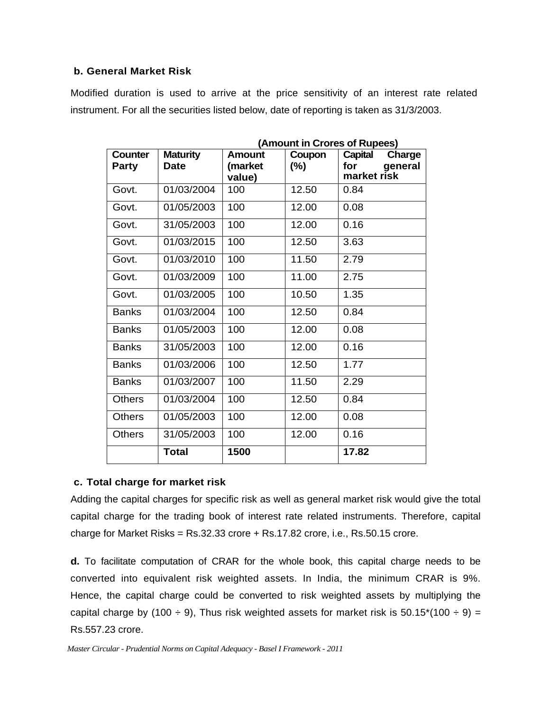### **b. General Market Risk**

Modified duration is used to arrive at the price sensitivity of an interest rate related instrument. For all the securities listed below, date of reporting is taken as 31/3/2003.

| <b>Counter</b> | <b>Maturity</b> | Amount            | Coupon | minodin in oronos or napocs;<br><b>Capital</b><br>Charge |
|----------------|-----------------|-------------------|--------|----------------------------------------------------------|
| <b>Party</b>   | <b>Date</b>     | (market<br>value) | (%)    | for<br>general<br>market risk                            |
| Govt.          | 01/03/2004      | 100               | 12.50  | 0.84                                                     |
| Govt.          | 01/05/2003      | 100               | 12.00  | 0.08                                                     |
| Govt.          | 31/05/2003      | 100               | 12.00  | 0.16                                                     |
| Govt.          | 01/03/2015      | 100               | 12.50  | 3.63                                                     |
| Govt.          | 01/03/2010      | 100               | 11.50  | 2.79                                                     |
| Govt.          | 01/03/2009      | 100               | 11.00  | 2.75                                                     |
| Govt.          | 01/03/2005      | 100               | 10.50  | 1.35                                                     |
| <b>Banks</b>   | 01/03/2004      | 100               | 12.50  | 0.84                                                     |
| <b>Banks</b>   | 01/05/2003      | 100               | 12.00  | 0.08                                                     |
| <b>Banks</b>   | 31/05/2003      | 100               | 12.00  | 0.16                                                     |
| <b>Banks</b>   | 01/03/2006      | 100               | 12.50  | 1.77                                                     |
| <b>Banks</b>   | 01/03/2007      | 100               | 11.50  | 2.29                                                     |
| <b>Others</b>  | 01/03/2004      | 100               | 12.50  | 0.84                                                     |
| <b>Others</b>  | 01/05/2003      | 100               | 12.00  | 0.08                                                     |
| <b>Others</b>  | 31/05/2003      | 100               | 12.00  | 0.16                                                     |
|                | <b>Total</b>    | 1500              |        | 17.82                                                    |

**(Amount in Crores of Rupees)**

## **c. Total charge for market risk**

Adding the capital charges for specific risk as well as general market risk would give the total capital charge for the trading book of interest rate related instruments. Therefore, capital charge for Market Risks =  $Rs.32.33$  crore  $+ Rs.17.82$  crore, i.e.,  $Rs.50.15$  crore.

**d.** To facilitate computation of CRAR for the whole book, this capital charge needs to be converted into equivalent risk weighted assets. In India, the minimum CRAR is 9%. Hence, the capital charge could be converted to risk weighted assets by multiplying the capital charge by (100  $\div$  9), Thus risk weighted assets for market risk is 50.15\*(100  $\div$  9) = Rs.557.23 crore.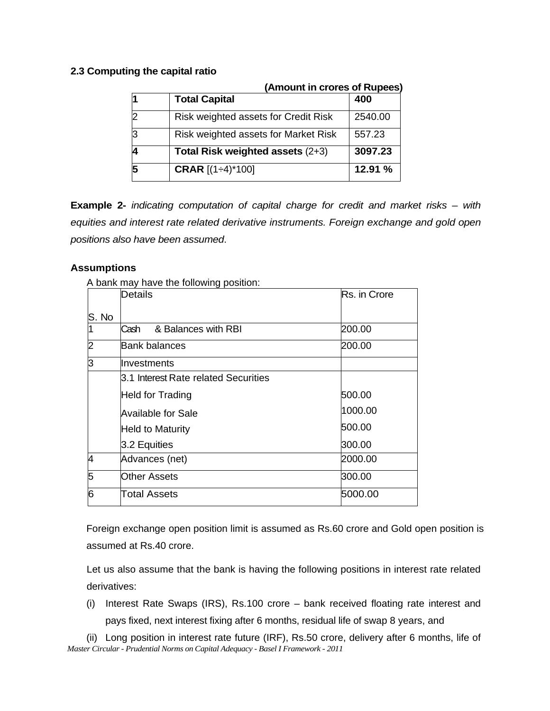## **2.3 Computing the capital ratio**

| (Amount in crores of Rupees)         |         |
|--------------------------------------|---------|
| <b>Total Capital</b>                 | 400     |
| Risk weighted assets for Credit Risk | 2540.00 |
| Risk weighted assets for Market Risk | 557.23  |
| Total Risk weighted assets (2+3)     | 3097.23 |
| <b>CRAR</b> [(1÷4)*100]              | 12.91%  |

**Example 2-** *indicating computation of capital charge for credit and market risks – with equities and interest rate related derivative instruments. Foreign exchange and gold open positions also have been assumed*.

## **Assumptions**

A bank may have the following position:

|                | Details                              | Rs. in Crore |
|----------------|--------------------------------------|--------------|
| S. No          |                                      |              |
| 1              | & Balances with RBI<br>Cash          | 200.00       |
| $\overline{2}$ | <b>Bank balances</b>                 | 200.00       |
| lЗ             | Investments                          |              |
|                | 3.1 Interest Rate related Securities |              |
|                | <b>Held for Trading</b>              | 500.00       |
|                | <b>Available for Sale</b>            | 1000.00      |
|                | <b>Held to Maturity</b>              | 500.00       |
|                | 3.2 Equities                         | 300.00       |
| 4              | Advances (net)                       | 2000.00      |
| 5              | Other Assets                         | 300.00       |
| 6              | Total Assets                         | 5000.00      |

Foreign exchange open position limit is assumed as Rs.60 crore and Gold open position is assumed at Rs.40 crore.

Let us also assume that the bank is having the following positions in interest rate related derivatives:

(i) Interest Rate Swaps (IRS), Rs.100 crore – bank received floating rate interest and pays fixed, next interest fixing after 6 months, residual life of swap 8 years, and

*Master Circular - Prudential Norms on Capital Adequacy - Basel I Framework - 2011* (ii) Long position in interest rate future (IRF), Rs.50 crore, delivery after 6 months, life of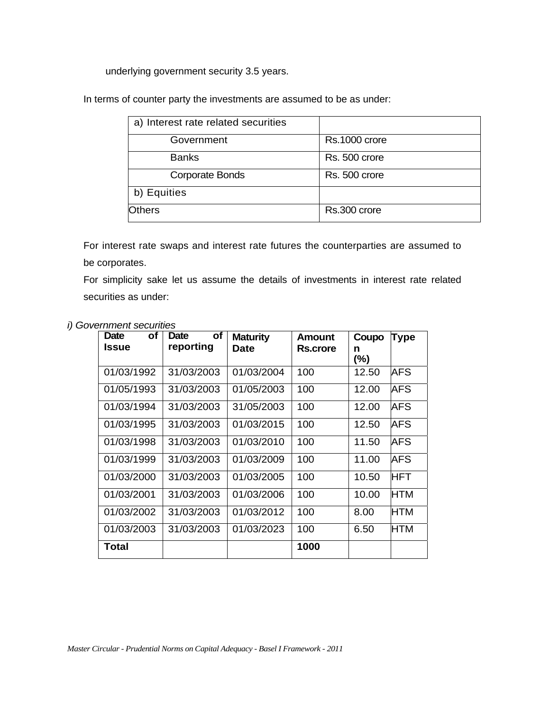underlying government security 3.5 years.

In terms of counter party the investments are assumed to be as under:

| a) Interest rate related securities |               |
|-------------------------------------|---------------|
| Government                          | Rs.1000 crore |
| <b>Banks</b>                        | Rs. 500 crore |
| <b>Corporate Bonds</b>              | Rs. 500 crore |
| b) Equities                         |               |
| <b>Others</b>                       | Rs.300 crore  |

For interest rate swaps and interest rate futures the counterparties are assumed to be corporates.

For simplicity sake let us assume the details of investments in interest rate related securities as under:

| оf<br>Date   | Date<br>οf | <b>Maturity</b> | Amount   | Coupo    | <b>Type</b> |
|--------------|------------|-----------------|----------|----------|-------------|
| <b>Issue</b> | reporting  | Date            | Rs.crore | n<br>(%) |             |
| 01/03/1992   | 31/03/2003 | 01/03/2004      | 100      | 12.50    | AFS         |
| 01/05/1993   | 31/03/2003 | 01/05/2003      | 100      | 12.00    | AFS         |
| 01/03/1994   | 31/03/2003 | 31/05/2003      | 100      | 12.00    | AFS         |
| 01/03/1995   | 31/03/2003 | 01/03/2015      | 100      | 12.50    | AFS         |
| 01/03/1998   | 31/03/2003 | 01/03/2010      | 100      | 11.50    | AFS         |
| 01/03/1999   | 31/03/2003 | 01/03/2009      | 100      | 11.00    | AFS         |
| 01/03/2000   | 31/03/2003 | 01/03/2005      | 100      | 10.50    | <b>HFT</b>  |
| 01/03/2001   | 31/03/2003 | 01/03/2006      | 100      | 10.00    | <b>HTM</b>  |
| 01/03/2002   | 31/03/2003 | 01/03/2012      | 100      | 8.00     | <b>HTM</b>  |
| 01/03/2003   | 31/03/2003 | 01/03/2023      | 100      | 6.50     | HTM         |
| Total        |            |                 | 1000     |          |             |

### *i) Government securities*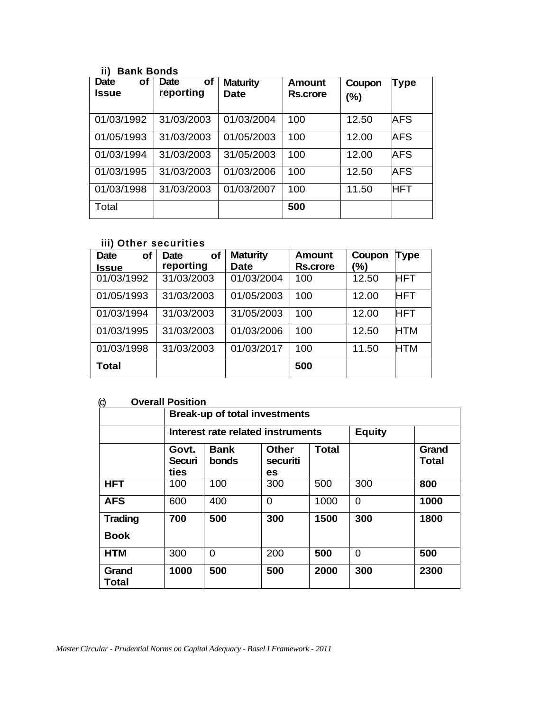## **ii) Bank Bonds**

| <b>Date</b><br>οf<br>Issue | of<br><b>Date</b><br>reporting | <b>Maturity</b><br><b>Date</b> | Amount<br>Rs.crore | Coupon<br>(%) | <b>Type</b> |
|----------------------------|--------------------------------|--------------------------------|--------------------|---------------|-------------|
| 01/03/1992                 | 31/03/2003                     | 01/03/2004                     | 100                | 12.50         | AFS         |
| 01/05/1993                 | 31/03/2003                     | 01/05/2003                     | 100                | 12.00         | AFS         |
| 01/03/1994                 | 31/03/2003                     | 31/05/2003                     | 100                | 12.00         | <b>AFS</b>  |
| 01/03/1995                 | 31/03/2003                     | 01/03/2006                     | 100                | 12.50         | <b>AFS</b>  |
| 01/03/1998                 | 31/03/2003                     | 01/03/2007                     | 100                | 11.50         | <b>HFT</b>  |
| Total                      |                                |                                | 500                |               |             |

## **iii) Other securities**

| of<br><b>Date</b> | <b>of</b><br><b>Date</b> | <b>Maturity</b> | <b>Amount</b>   | Coupon | Type       |
|-------------------|--------------------------|-----------------|-----------------|--------|------------|
| <b>Issue</b>      | reporting                | <b>Date</b>     | <b>Rs.crore</b> | (%)    |            |
| 01/03/1992        | 31/03/2003               | 01/03/2004      | 100             | 12.50  | HFT        |
| 01/05/1993        | 31/03/2003               | 01/05/2003      | 100             | 12.00  | <b>HFT</b> |
| 01/03/1994        | 31/03/2003               | 31/05/2003      | 100             | 12.00  | <b>HFT</b> |
| 01/03/1995        | 31/03/2003               | 01/03/2006      | 100             | 12.50  | <b>HTM</b> |
| 01/03/1998        | 31/03/2003               | 01/03/2017      | 100             | 11.50  | <b>HTM</b> |
| <b>Total</b>      |                          |                 | 500             |        |            |

## (c) **Overall Position**

| 17                            | <b>Break-up of total investments</b> |                                   |                                |              |                |                       |
|-------------------------------|--------------------------------------|-----------------------------------|--------------------------------|--------------|----------------|-----------------------|
|                               |                                      | Interest rate related instruments |                                |              | <b>Equity</b>  |                       |
|                               | Govt.<br>Securi<br>ties              | <b>Bank</b><br>bonds              | <b>Other</b><br>securiti<br>es | <b>Total</b> |                | Grand<br><b>Total</b> |
| <b>HFT</b>                    | 100                                  | 100                               | 300                            | 500          | 300            | 800                   |
| <b>AFS</b>                    | 600                                  | 400                               | $\Omega$                       | 1000         | $\overline{0}$ | 1000                  |
| <b>Trading</b><br><b>Book</b> | 700                                  | 500                               | 300                            | 1500         | 300            | 1800                  |
| <b>HTM</b>                    | 300                                  | $\Omega$                          | 200                            | 500          | $\Omega$       | 500                   |
| Grand<br>Total                | 1000                                 | 500                               | 500                            | 2000         | 300            | 2300                  |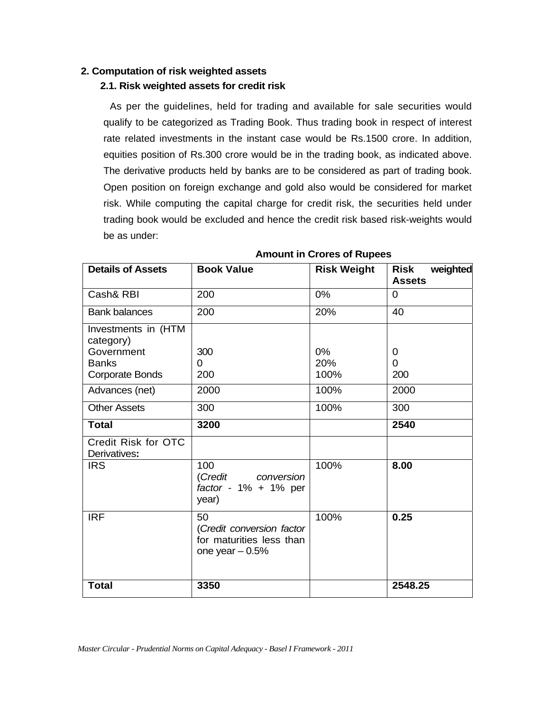### **2. Computation of risk weighted assets**

## **2.1. Risk weighted assets for credit risk**

As per the guidelines, held for trading and available for sale securities would qualify to be categorized as Trading Book. Thus trading book in respect of interest rate related investments in the instant case would be Rs.1500 crore. In addition, equities position of Rs.300 crore would be in the trading book, as indicated above. The derivative products held by banks are to be considered as part of trading book. Open position on foreign exchange and gold also would be considered for market risk. While computing the capital charge for credit risk, the securities held under trading book would be excluded and hence the credit risk based risk-weights would be as under:

| <b>Details of Assets</b>                                                          | <b>Book Value</b>                                                               | <b>Risk Weight</b>   | weighted<br><b>Risk</b><br><b>Assets</b> |
|-----------------------------------------------------------------------------------|---------------------------------------------------------------------------------|----------------------|------------------------------------------|
| Cash& RBI                                                                         | 200                                                                             | $0\%$                | $\Omega$                                 |
| <b>Bank balances</b>                                                              | 200                                                                             | 20%                  | 40                                       |
| Investments in (HTM<br>category)<br>Government<br><b>Banks</b><br>Corporate Bonds | 300<br>0<br>200                                                                 | $0\%$<br>20%<br>100% | 0<br>$\Omega$<br>200                     |
| Advances (net)                                                                    | 2000                                                                            | 100%                 | 2000                                     |
| <b>Other Assets</b>                                                               | 300                                                                             | 100%                 | 300                                      |
| <b>Total</b>                                                                      | 3200                                                                            |                      | 2540                                     |
| Credit Risk for OTC<br>Derivatives:                                               |                                                                                 |                      |                                          |
| <b>IRS</b>                                                                        | 100<br>(Credit<br>conversion<br>factor - $1\% + 1\%$ per<br>year)               | 100%                 | 8.00                                     |
| <b>IRF</b>                                                                        | 50<br>(Credit conversion factor<br>for maturities less than<br>one year $-0.5%$ | 100%                 | 0.25                                     |
| <b>Total</b>                                                                      | 3350                                                                            |                      | 2548.25                                  |

### **Amount in Crores of Rupees**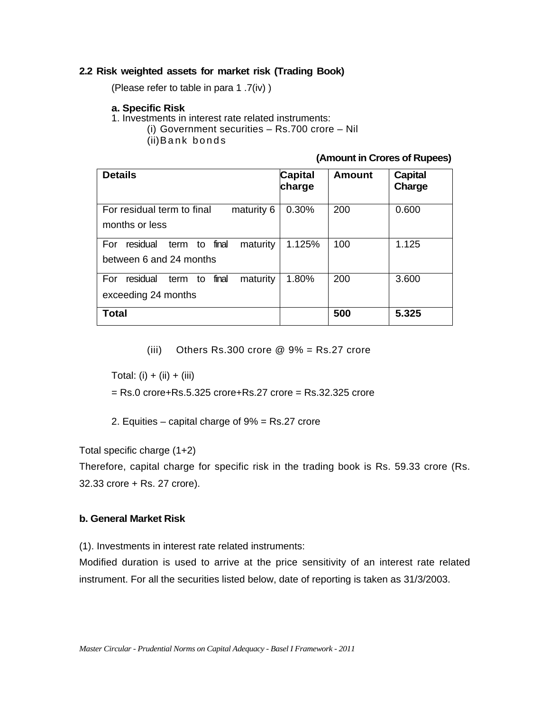### **2.2 Risk weighted assets for market risk (Trading Book)**

(Please refer to table in para 1 .7(iv) )

#### **a. Specific Risk**

- 1. Investments in interest rate related instruments:
	- (i) Government securities Rs.700 crore Nil

(ii) Bank bonds

#### **(Amount in Crores of Rupees)**

| <b>Details</b>                                                             | Capital<br>charge | Amount | <b>Capital</b><br>Charge |
|----------------------------------------------------------------------------|-------------------|--------|--------------------------|
| For residual term to final<br>maturity 6<br>months or less                 | 0.30%             | 200    | 0.600                    |
| final<br>residual<br>maturity<br>term to<br>For<br>between 6 and 24 months | 1.125%            | 100    | 1.125                    |
| residual<br>final<br>For<br>maturity<br>term<br>to<br>exceeding 24 months  | 1.80%             | 200    | 3.600                    |
| Total                                                                      |                   | 500    | 5.325                    |

(iii) Others Rs.300 crore  $@9\% = Rs.27$  crore

Total: (i) + (ii) + (iii)

= Rs.0 crore+Rs.5.325 crore+Rs.27 crore = Rs.32.325 crore

2. Equities – capital charge of 9% = Rs.27 crore

Total specific charge (1+2)

Therefore, capital charge for specific risk in the trading book is Rs. 59.33 crore (Rs. 32.33 crore + Rs. 27 crore).

### **b. General Market Risk**

(1). Investments in interest rate related instruments:

Modified duration is used to arrive at the price sensitivity of an interest rate related instrument. For all the securities listed below, date of reporting is taken as 31/3/2003.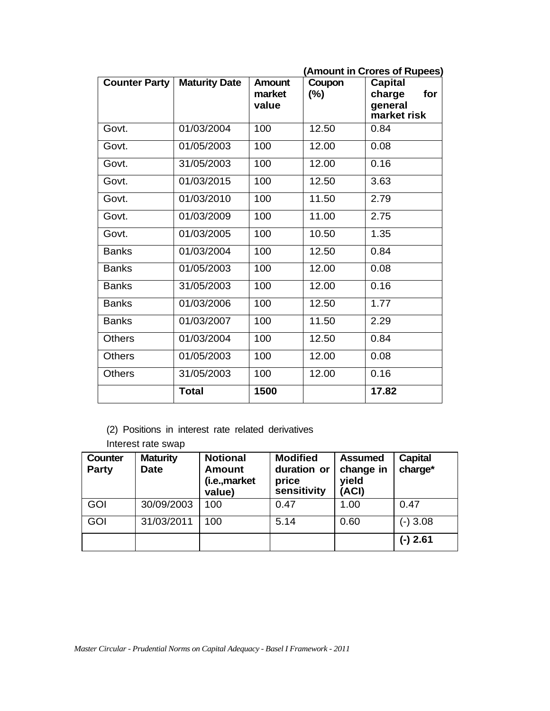|                      |                      |                           |               | (Amount in Crores of Rupees)                              |
|----------------------|----------------------|---------------------------|---------------|-----------------------------------------------------------|
| <b>Counter Party</b> | <b>Maturity Date</b> | Amount<br>market<br>value | Coupon<br>(%) | <b>Capital</b><br>charge<br>for<br>general<br>market risk |
| Govt.                | 01/03/2004           | 100                       | 12.50         | 0.84                                                      |
| Govt.                | 01/05/2003           | 100                       | 12.00         | 0.08                                                      |
| Govt.                | 31/05/2003           | 100                       | 12.00         | 0.16                                                      |
| Govt.                | 01/03/2015           | 100                       | 12.50         | 3.63                                                      |
| Govt.                | 01/03/2010           | 100                       | 11.50         | 2.79                                                      |
| Govt.                | 01/03/2009           | 100                       | 11.00         | 2.75                                                      |
| Govt.                | 01/03/2005           | 100                       | 10.50         | 1.35                                                      |
| <b>Banks</b>         | 01/03/2004           | 100                       | 12.50         | 0.84                                                      |
| <b>Banks</b>         | 01/05/2003           | 100                       | 12.00         | 0.08                                                      |
| <b>Banks</b>         | 31/05/2003           | 100                       | 12.00         | 0.16                                                      |
| <b>Banks</b>         | 01/03/2006           | 100                       | 12.50         | 1.77                                                      |
| <b>Banks</b>         | 01/03/2007           | 100                       | 11.50         | 2.29                                                      |
| <b>Others</b>        | 01/03/2004           | 100                       | 12.50         | 0.84                                                      |
| Others               | 01/05/2003           | 100                       | 12.00         | 0.08                                                      |
| <b>Others</b>        | 31/05/2003           | 100                       | 12.00         | 0.16                                                      |
|                      | <b>Total</b>         | 1500                      |               | 17.82                                                     |

- (2) Positions in interest rate related derivatives
- Interest rate swap

| <b>Counter</b><br><b>Party</b> | <b>Maturity</b><br><b>Date</b> | <b>Notional</b><br><b>Amount</b><br>(i.e.,market<br>value) | <b>Modified</b><br>duration or<br>price<br>sensitivity | <b>Assumed</b><br>change in<br>yield<br>(ACI) | <b>Capital</b><br>charge* |
|--------------------------------|--------------------------------|------------------------------------------------------------|--------------------------------------------------------|-----------------------------------------------|---------------------------|
| <b>GOI</b>                     | 30/09/2003                     | 100                                                        | 0.47                                                   | 1.00                                          | 0.47                      |
| <b>GOI</b>                     | 31/03/2011                     | 100                                                        | 5.14                                                   | 0.60                                          | $(-)3.08$                 |
|                                |                                |                                                            |                                                        |                                               | $(-)$ 2.61                |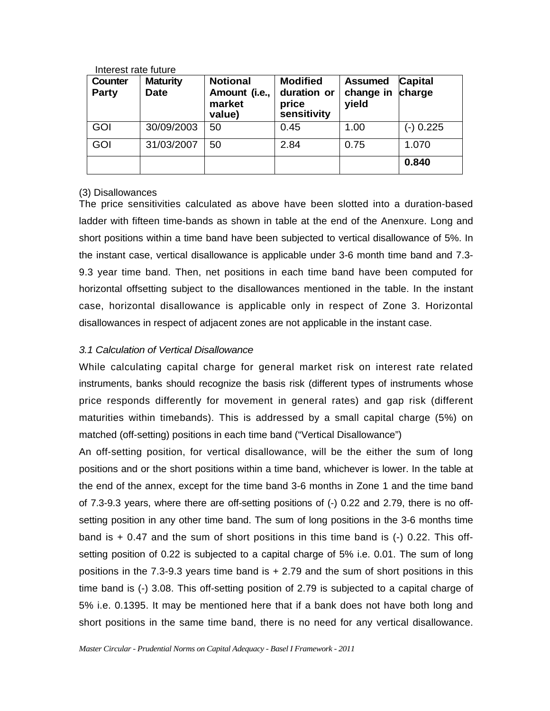| Counter<br><b>Party</b> | <b>Maturity</b><br><b>Date</b> | <b>Notional</b><br>Amount (i.e.,<br>market<br>value) | <b>Modified</b><br>duration or<br>price<br>sensitivity | <b>Assumed</b><br>change in charge<br>yield | <b>Capital</b> |
|-------------------------|--------------------------------|------------------------------------------------------|--------------------------------------------------------|---------------------------------------------|----------------|
| <b>GOI</b>              | 30/09/2003                     | 50                                                   | 0.45                                                   | 1.00                                        | (-) 0.225      |
| GOI                     | 31/03/2007                     | 50                                                   | 2.84                                                   | 0.75                                        | 1.070          |
|                         |                                |                                                      |                                                        |                                             | 0.840          |

Interest rate future

### (3) Disallowances

The price sensitivities calculated as above have been slotted into a duration-based ladder with fifteen time-bands as shown in table at the end of the Anenxure. Long and short positions within a time band have been subjected to vertical disallowance of 5%. In the instant case, vertical disallowance is applicable under 3-6 month time band and 7.3- 9.3 year time band. Then, net positions in each time band have been computed for horizontal offsetting subject to the disallowances mentioned in the table. In the instant case, horizontal disallowance is applicable only in respect of Zone 3. Horizontal disallowances in respect of adjacent zones are not applicable in the instant case.

## *3.1 Calculation of Vertical Disallowance*

While calculating capital charge for general market risk on interest rate related instruments, banks should recognize the basis risk (different types of instruments whose price responds differently for movement in general rates) and gap risk (different maturities within timebands). This is addressed by a small capital charge (5%) on matched (off-setting) positions in each time band ("Vertical Disallowance")

An off-setting position, for vertical disallowance, will be the either the sum of long positions and or the short positions within a time band, whichever is lower. In the table at the end of the annex, except for the time band 3-6 months in Zone 1 and the time band of 7.3-9.3 years, where there are off-setting positions of (-) 0.22 and 2.79, there is no offsetting position in any other time band. The sum of long positions in the 3-6 months time band is + 0.47 and the sum of short positions in this time band is (-) 0.22. This offsetting position of 0.22 is subjected to a capital charge of 5% i.e. 0.01. The sum of long positions in the 7.3-9.3 years time band is + 2.79 and the sum of short positions in this time band is (-) 3.08. This off-setting position of 2.79 is subjected to a capital charge of 5% i.e. 0.1395. It may be mentioned here that if a bank does not have both long and short positions in the same time band, there is no need for any vertical disallowance.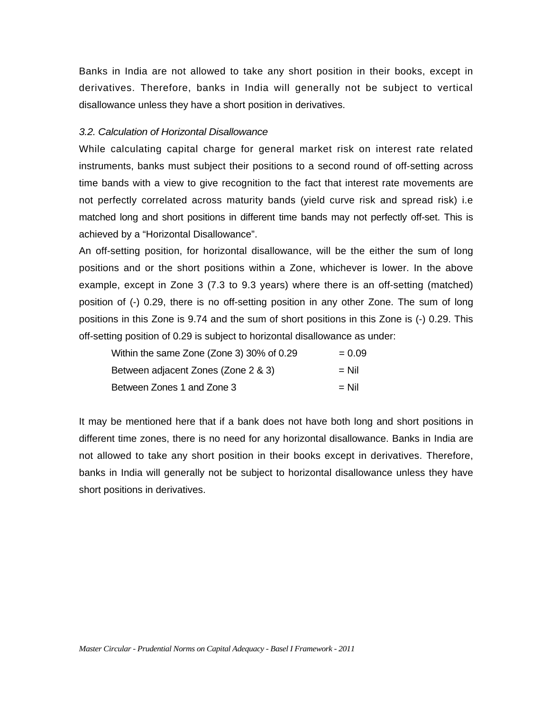Banks in India are not allowed to take any short position in their books, except in derivatives. Therefore, banks in India will generally not be subject to vertical disallowance unless they have a short position in derivatives.

#### *3.2. Calculation of Horizontal Disallowance*

While calculating capital charge for general market risk on interest rate related instruments, banks must subject their positions to a second round of off-setting across time bands with a view to give recognition to the fact that interest rate movements are not perfectly correlated across maturity bands (yield curve risk and spread risk) i.e matched long and short positions in different time bands may not perfectly off-set. This is achieved by a "Horizontal Disallowance".

An off-setting position, for horizontal disallowance, will be the either the sum of long positions and or the short positions within a Zone, whichever is lower. In the above example, except in Zone 3 (7.3 to 9.3 years) where there is an off-setting (matched) position of (-) 0.29, there is no off-setting position in any other Zone. The sum of long positions in this Zone is 9.74 and the sum of short positions in this Zone is (-) 0.29. This off-setting position of 0.29 is subject to horizontal disallowance as under:

| Within the same Zone (Zone 3) 30% of 0.29 | $= 0.09$ |
|-------------------------------------------|----------|
| Between adjacent Zones (Zone 2 & 3)       | $=$ Nil  |
| Between Zones 1 and Zone 3                | $=$ Nil  |

It may be mentioned here that if a bank does not have both long and short positions in different time zones, there is no need for any horizontal disallowance. Banks in India are not allowed to take any short position in their books except in derivatives. Therefore, banks in India will generally not be subject to horizontal disallowance unless they have short positions in derivatives.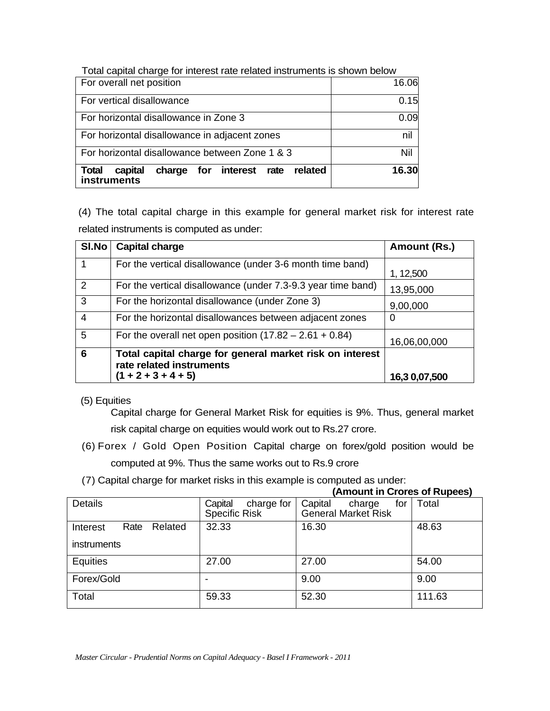| Total capital charge for interest rate related instruments is shown below     |       |
|-------------------------------------------------------------------------------|-------|
| For overall net position                                                      | 16.06 |
| For vertical disallowance                                                     | 0.15  |
| For horizontal disallowance in Zone 3                                         | 0.09  |
| For horizontal disallowance in adjacent zones                                 | nil   |
| For horizontal disallowance between Zone 1 & 3                                | Nil   |
| charge for interest rate<br><b>Total</b><br>capital<br>related<br>instruments | 16.30 |

(4) The total capital charge in this example for general market risk for interest rate related instruments is computed as under:

| SI.No          | <b>Capital charge</b>                                                                                         | Amount (Rs.)  |
|----------------|---------------------------------------------------------------------------------------------------------------|---------------|
| 1              | For the vertical disallowance (under 3-6 month time band)                                                     | 1, 12,500     |
| 2              | For the vertical disallowance (under 7.3-9.3 year time band)                                                  | 13,95,000     |
| 3              | For the horizontal disallowance (under Zone 3)                                                                | 9,00,000      |
| $\overline{4}$ | For the horizontal disallowances between adjacent zones                                                       | O             |
| 5              | For the overall net open position $(17.82 - 2.61 + 0.84)$                                                     | 16,06,00,000  |
| 6              | Total capital charge for general market risk on interest<br>rate related instruments<br>$(1 + 2 + 3 + 4 + 5)$ | 16,3 0,07,500 |

## (5) Equities

Capital charge for General Market Risk for equities is 9%. Thus, general market risk capital charge on equities would work out to Rs.27 crore.

- (6) Forex / Gold Open Position Capital charge on forex/gold position would be computed at 9%. Thus the same works out to Rs.9 crore
- (7) Capital charge for market risks in this example is computed as under:

|                             |                                               | (AIIIOUIII III UIUIES UI RUDEES)                       |        |  |  |
|-----------------------------|-----------------------------------------------|--------------------------------------------------------|--------|--|--|
| <b>Details</b>              | charge for<br>Capital<br><b>Specific Risk</b> | Capital<br>for<br>charge<br><b>General Market Risk</b> | Total  |  |  |
| Related<br>Rate<br>Interest | 32.33                                         | 16.30                                                  | 48.63  |  |  |
| instruments                 |                                               |                                                        |        |  |  |
| Equities                    | 27.00                                         | 27.00                                                  | 54.00  |  |  |
| Forex/Gold                  |                                               | 9.00                                                   | 9.00   |  |  |
| Total                       | 59.33                                         | 52.30                                                  | 111.63 |  |  |

**(Amount in Crores of Rupees)**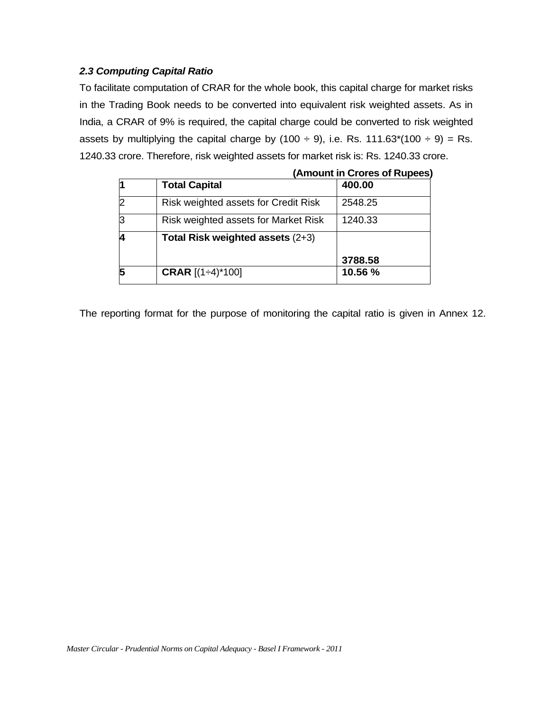## *2.3 Computing Capital Ratio*

To facilitate computation of CRAR for the whole book, this capital charge for market risks in the Trading Book needs to be converted into equivalent risk weighted assets. As in India, a CRAR of 9% is required, the capital charge could be converted to risk weighted assets by multiplying the capital charge by (100  $\div$  9), i.e. Rs. 111.63\*(100  $\div$  9) = Rs. 1240.33 crore. Therefore, risk weighted assets for market risk is: Rs. 1240.33 crore.

|                |                                      | (Alliount III Croies of Rupees) |  |  |  |  |  |
|----------------|--------------------------------------|---------------------------------|--|--|--|--|--|
|                | <b>Total Capital</b>                 | 400.00                          |  |  |  |  |  |
| $\overline{2}$ | Risk weighted assets for Credit Risk | 2548.25                         |  |  |  |  |  |
| 3              | Risk weighted assets for Market Risk | 1240.33                         |  |  |  |  |  |
| 4              | Total Risk weighted assets (2+3)     |                                 |  |  |  |  |  |
|                |                                      | 3788.58                         |  |  |  |  |  |
| 5              | <b>CRAR</b> $[(1 \div 4)^* 100]$     | 10.56 %                         |  |  |  |  |  |

**(Amount in Crores of Rupees)** 

The reporting format for the purpose of monitoring the capital ratio is given in Annex 12.